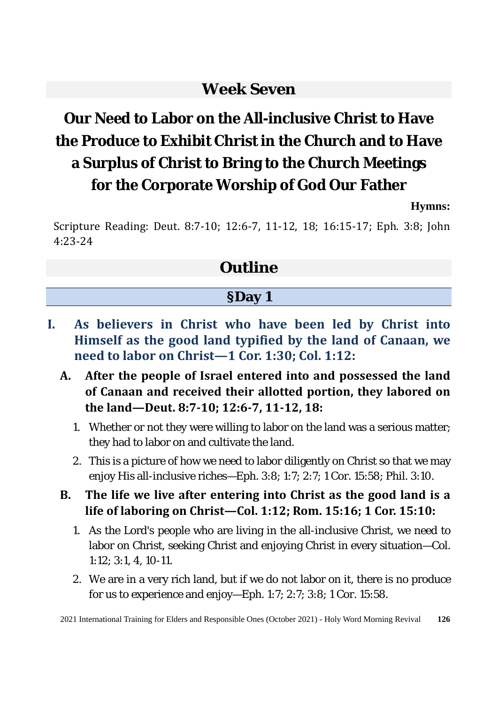### **Week Seven**

# **Our Need to Labor on the All-inclusive Christ to Have the Produce to Exhibit Christ in the Church and to Have a Surplus of Christ to Bring to the Church Meetings for the Corporate Worship of God Our Father**

**Hymns:**

Scripture Reading: Deut. 8:7-10; 12:6-7, 11-12, 18; 16:15-17; Eph. 3:8; John 4:23-24

### **Outline**

#### **§Day 1**

- **I. As believers in Christ who have been led by Christ into Himself as the good land typified by the land of Canaan, we need to labor on Christ—1 Cor. 1:30; Col. 1:12:**
	- **A. After the people of Israel entered into and possessed the land of Canaan and received their allotted portion, they labored on the land—Deut. 8:7-10; 12:6-7, 11-12, 18:** 
		- 1. Whether or not they were willing to labor on the land was a serious matter; they had to labor on and cultivate the land.
		- 2. This is a picture of how we need to labor diligently on Christ so that we may enjoy His all-inclusive riches—Eph. 3:8; 1:7; 2:7; 1 Cor. 15:58; Phil. 3:10.
	- **B. The life we live after entering into Christ as the good land is a life of laboring on Christ—Col. 1:12; Rom. 15:16; 1 Cor. 15:10:** 
		- 1. As the Lord's people who are living in the all-inclusive Christ, we need to labor on Christ, seeking Christ and enjoying Christ in every situation—Col. 1:12; 3:1, 4, 10-11.
		- 2. We are in a very rich land, but if we do not labor on it, there is no produce for us to experience and enjoy—Eph. 1:7; 2:7; 3:8; 1 Cor. 15:58.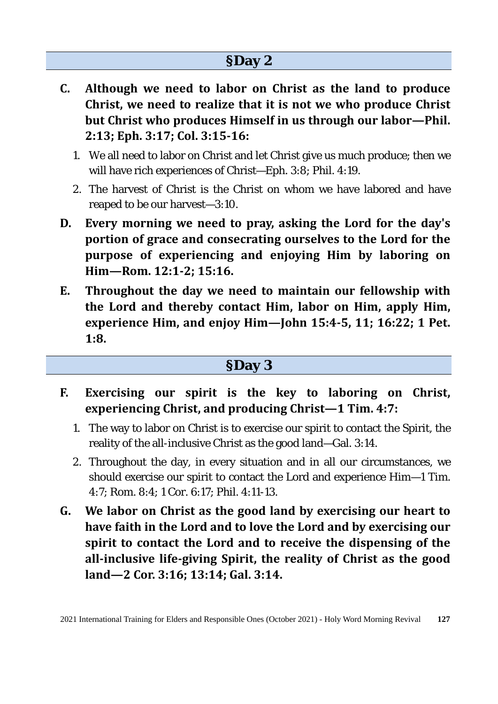### **§Day 2**

- **C. Although we need to labor on Christ as the land to produce Christ, we need to realize that it is not we who produce Christ but Christ who produces Himself in us through our labor—Phil. 2:13; Eph. 3:17; Col. 3:15-16:** 
	- 1. We all need to labor on Christ and let Christ give us much produce; then we will have rich experiences of Christ—Eph. 3:8; Phil. 4:19.
	- 2. The harvest of Christ is the Christ on whom we have labored and have reaped to be our harvest—3:10.
- **D. Every morning we need to pray, asking the Lord for the day's portion of grace and consecrating ourselves to the Lord for the purpose of experiencing and enjoying Him by laboring on Him—Rom. 12:1-2; 15:16.**
- **E. Throughout the day we need to maintain our fellowship with the Lord and thereby contact Him, labor on Him, apply Him, experience Him, and enjoy Him—John 15:4-5, 11; 16:22; 1 Pet. 1:8.**

#### **§Day 3**

- **F. Exercising our spirit is the key to laboring on Christ, experiencing Christ, and producing Christ—1 Tim. 4:7:** 
	- 1. The way to labor on Christ is to exercise our spirit to contact the Spirit, the reality of the all-inclusive Christ as the good land—Gal. 3:14.
	- 2. Throughout the day, in every situation and in all our circumstances, we should exercise our spirit to contact the Lord and experience Him—1 Tim. 4:7; Rom. 8:4; 1 Cor. 6:17; Phil. 4:11-13.
- **G. We labor on Christ as the good land by exercising our heart to have faith in the Lord and to love the Lord and by exercising our spirit to contact the Lord and to receive the dispensing of the all-inclusive life-giving Spirit, the reality of Christ as the good land—2 Cor. 3:16; 13:14; Gal. 3:14.**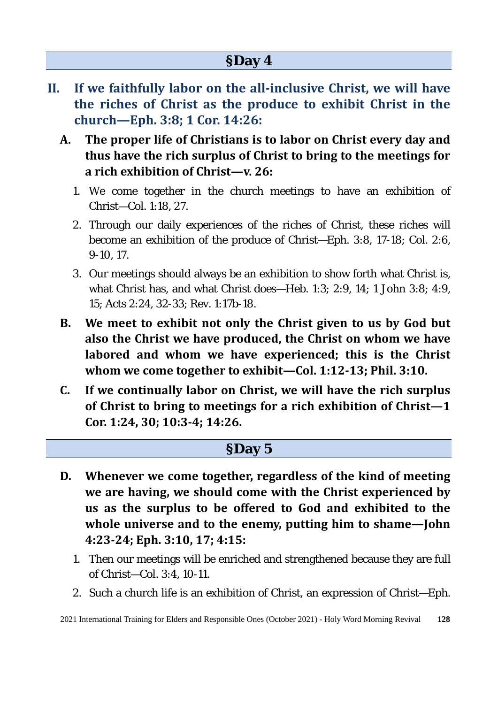- **II. If we faithfully labor on the all-inclusive Christ, we will have the riches of Christ as the produce to exhibit Christ in the church—Eph. 3:8; 1 Cor. 14:26:**
	- **A. The proper life of Christians is to labor on Christ every day and thus have the rich surplus of Christ to bring to the meetings for a rich exhibition of Christ—v. 26:** 
		- 1. We come together in the church meetings to have an exhibition of Christ—Col. 1:18, 27.
		- 2. Through our daily experiences of the riches of Christ, these riches will become an exhibition of the produce of Christ—Eph. 3:8, 17-18; Col. 2:6, 9-10, 17.
		- 3. Our meetings should always be an exhibition to show forth what Christ is, what Christ has, and what Christ does—Heb. 1:3; 2:9, 14; 1 John 3:8; 4:9, 15; Acts 2:24, 32-33; Rev. 1:17b-18.
	- **B. We meet to exhibit not only the Christ given to us by God but also the Christ we have produced, the Christ on whom we have labored and whom we have experienced; this is the Christ whom we come together to exhibit—Col. 1:12-13; Phil. 3:10.**
	- **C. If we continually labor on Christ, we will have the rich surplus of Christ to bring to meetings for a rich exhibition of Christ—1 Cor. 1:24, 30; 10:3-4; 14:26.**

#### **§Day 5**

- **D. Whenever we come together, regardless of the kind of meeting we are having, we should come with the Christ experienced by us as the surplus to be offered to God and exhibited to the whole universe and to the enemy, putting him to shame—John 4:23-24; Eph. 3:10, 17; 4:15:** 
	- 1. Then our meetings will be enriched and strengthened because they are full of Christ—Col. 3:4, 10-11.
	- 2. Such a church life is an exhibition of Christ, an expression of Christ—Eph.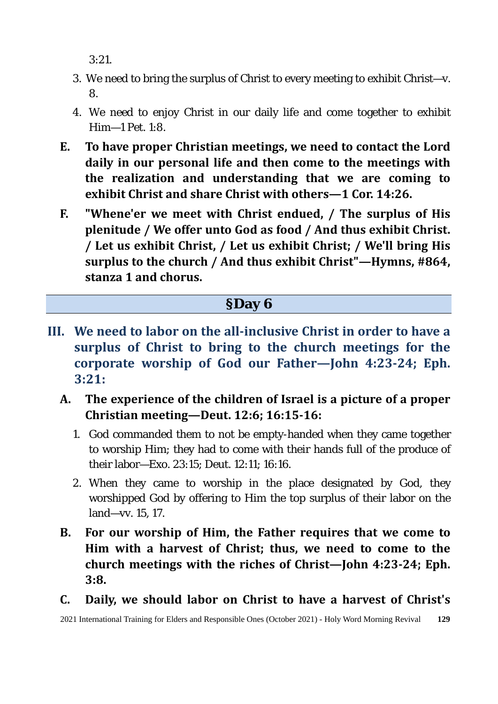3:21.

- 3. We need to bring the surplus of Christ to every meeting to exhibit Christ—v. 8.
- 4. We need to enjoy Christ in our daily life and come together to exhibit  $Him=1$  Pet. 1:8.
- **E. To have proper Christian meetings, we need to contact the Lord daily in our personal life and then come to the meetings with the realization and understanding that we are coming to exhibit Christ and share Christ with others—1 Cor. 14:26.**
- **F. "Whene'er we meet with Christ endued, / The surplus of His plenitude / We offer unto God as food / And thus exhibit Christ. / Let us exhibit Christ, / Let us exhibit Christ; / We'll bring His surplus to the church / And thus exhibit Christ"—Hymns, #864, stanza 1 and chorus.**

#### **§Day 6**

- **III. We need to labor on the all-inclusive Christ in order to have a surplus of Christ to bring to the church meetings for the corporate worship of God our Father—John 4:23-24; Eph. 3:21:** 
	- **A. The experience of the children of Israel is a picture of a proper Christian meeting—Deut. 12:6; 16:15-16:** 
		- 1. God commanded them to not be empty-handed when they came together to worship Him; they had to come with their hands full of the produce of their labor—Exo. 23:15; Deut. 12:11; 16:16.
		- 2. When they came to worship in the place designated by God, they worshipped God by offering to Him the top surplus of their labor on the land—vv. 15, 17.
	- **B. For our worship of Him, the Father requires that we come to Him with a harvest of Christ; thus, we need to come to the church meetings with the riches of Christ—John 4:23-24; Eph. 3:8.**
	- **C. Daily, we should labor on Christ to have a harvest of Christ's**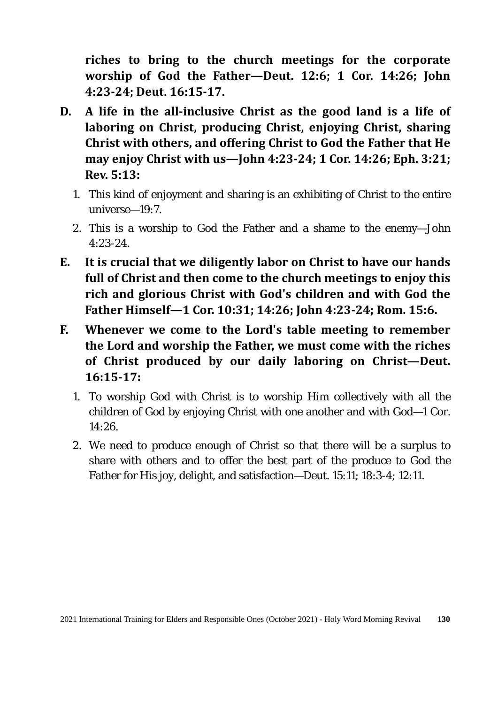**riches to bring to the church meetings for the corporate worship of God the Father—Deut. 12:6; 1 Cor. 14:26; John 4:23-24; Deut. 16:15-17.** 

- **D. A life in the all-inclusive Christ as the good land is a life of laboring on Christ, producing Christ, enjoying Christ, sharing Christ with others, and offering Christ to God the Father that He may enjoy Christ with us—John 4:23-24; 1 Cor. 14:26; Eph. 3:21; Rev. 5:13:** 
	- 1. This kind of enjoyment and sharing is an exhibiting of Christ to the entire universe—19:7.
	- 2. This is a worship to God the Father and a shame to the enemy—John 4:23-24.
- **E. It is crucial that we diligently labor on Christ to have our hands full of Christ and then come to the church meetings to enjoy this rich and glorious Christ with God's children and with God the Father Himself—1 Cor. 10:31; 14:26; John 4:23-24; Rom. 15:6.**
- **F. Whenever we come to the Lord's table meeting to remember the Lord and worship the Father, we must come with the riches of Christ produced by our daily laboring on Christ—Deut. 16:15-17:** 
	- 1. To worship God with Christ is to worship Him collectively with all the children of God by enjoying Christ with one another and with God—1 Cor. 14:26.
	- 2. We need to produce enough of Christ so that there will be a surplus to share with others and to offer the best part of the produce to God the Father for His joy, delight, and satisfaction—Deut. 15:11; 18:3-4; 12:11.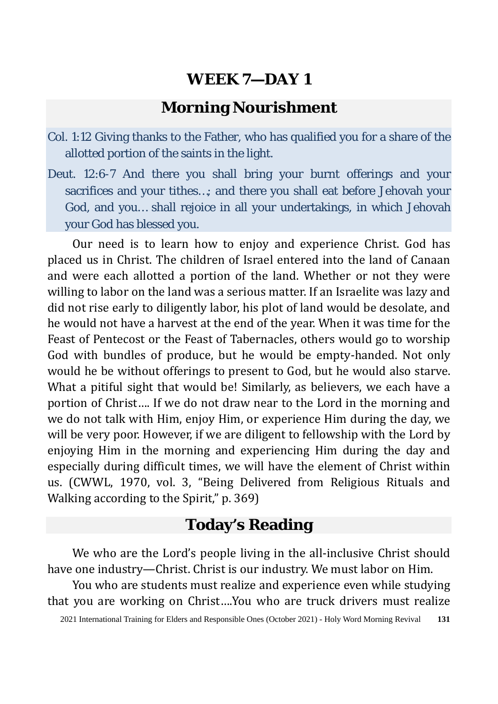### **Morning Nourishment**

- Col. 1:12 Giving thanks to the Father, who has qualified you for a share of the allotted portion of the saints in the light.
- Deut. 12:6-7 And there you shall bring your burnt offerings and your sacrifices and your tithes…; and there you shall eat before Jehovah your God, and you… shall rejoice in all your undertakings, in which Jehovah your God has blessed you.

Our need is to learn how to enjoy and experience Christ. God has placed us in Christ. The children of Israel entered into the land of Canaan and were each allotted a portion of the land. Whether or not they were willing to labor on the land was a serious matter. If an Israelite was lazy and did not rise early to diligently labor, his plot of land would be desolate, and he would not have a harvest at the end of the year. When it was time for the Feast of Pentecost or the Feast of Tabernacles, others would go to worship God with bundles of produce, but he would be empty-handed. Not only would he be without offerings to present to God, but he would also starve. What a pitiful sight that would be! Similarly, as believers, we each have a portion of Christ…. If we do not draw near to the Lord in the morning and we do not talk with Him, enjoy Him, or experience Him during the day, we will be very poor. However, if we are diligent to fellowship with the Lord by enjoying Him in the morning and experiencing Him during the day and especially during difficult times, we will have the element of Christ within us. (CWWL, 1970, vol. 3, "Being Delivered from Religious Rituals and Walking according to the Spirit," p. 369)

### **Today's Reading**

We who are the Lord's people living in the all-inclusive Christ should have one industry—Christ. Christ is our industry. We must labor on Him.

You who are students must realize and experience even while studying that you are working on Christ….You who are truck drivers must realize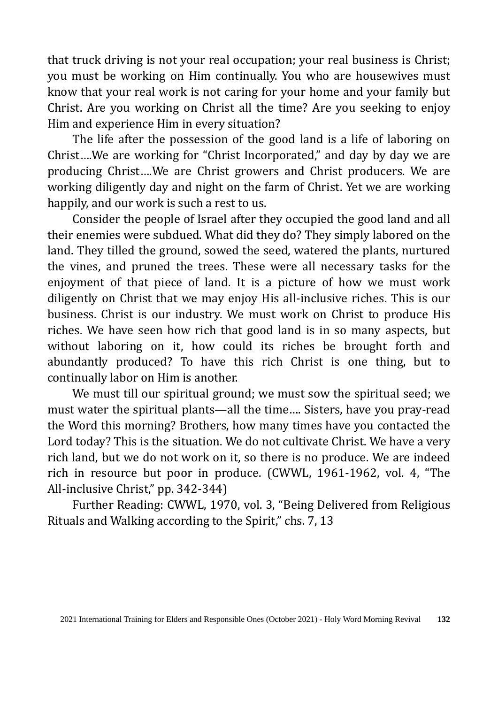that truck driving is not your real occupation; your real business is Christ; you must be working on Him continually. You who are housewives must know that your real work is not caring for your home and your family but Christ. Are you working on Christ all the time? Are you seeking to enjoy Him and experience Him in every situation?

The life after the possession of the good land is a life of laboring on Christ….We are working for "Christ Incorporated," and day by day we are producing Christ….We are Christ growers and Christ producers. We are working diligently day and night on the farm of Christ. Yet we are working happily, and our work is such a rest to us.

Consider the people of Israel after they occupied the good land and all their enemies were subdued. What did they do? They simply labored on the land. They tilled the ground, sowed the seed, watered the plants, nurtured the vines, and pruned the trees. These were all necessary tasks for the enjoyment of that piece of land. It is a picture of how we must work diligently on Christ that we may enjoy His all-inclusive riches. This is our business. Christ is our industry. We must work on Christ to produce His riches. We have seen how rich that good land is in so many aspects, but without laboring on it, how could its riches be brought forth and abundantly produced? To have this rich Christ is one thing, but to continually labor on Him is another.

We must till our spiritual ground; we must sow the spiritual seed; we must water the spiritual plants—all the time…. Sisters, have you pray-read the Word this morning? Brothers, how many times have you contacted the Lord today? This is the situation. We do not cultivate Christ. We have a very rich land, but we do not work on it, so there is no produce. We are indeed rich in resource but poor in produce. (CWWL, 1961-1962, vol. 4, "The All-inclusive Christ," pp. 342-344)

Further Reading: CWWL, 1970, vol. 3, "Being Delivered from Religious Rituals and Walking according to the Spirit," chs. 7, 13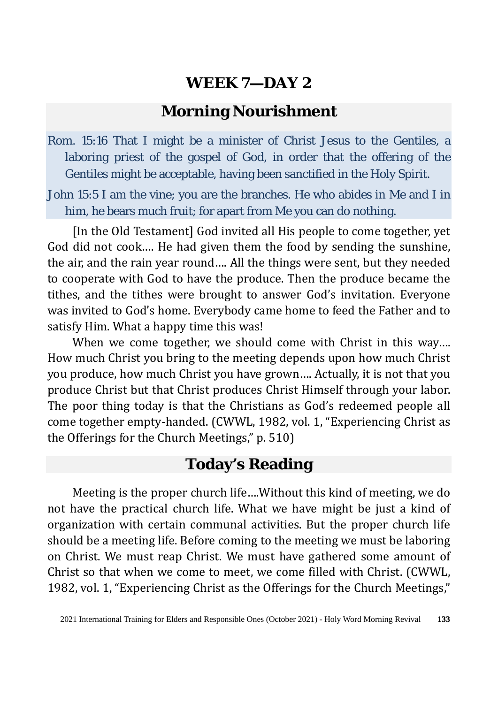#### **Morning Nourishment**

Rom. 15:16 That I might be a minister of Christ Jesus to the Gentiles, a laboring priest of the gospel of God, in order that the offering of the Gentiles might be acceptable, having been sanctified in the Holy Spirit.

John 15:5 I am the vine; you are the branches. He who abides in Me and I in him, he bears much fruit; for apart from Me you can do nothing.

[In the Old Testament] God invited all His people to come together, yet God did not cook…. He had given them the food by sending the sunshine, the air, and the rain year round…. All the things were sent, but they needed to cooperate with God to have the produce. Then the produce became the tithes, and the tithes were brought to answer God's invitation. Everyone was invited to God's home. Everybody came home to feed the Father and to satisfy Him. What a happy time this was!

When we come together, we should come with Christ in this way.... How much Christ you bring to the meeting depends upon how much Christ you produce, how much Christ you have grown…. Actually, it is not that you produce Christ but that Christ produces Christ Himself through your labor. The poor thing today is that the Christians as God's redeemed people all come together empty-handed. (CWWL, 1982, vol. 1, "Experiencing Christ as the Offerings for the Church Meetings," p. 510)

### **Today's Reading**

Meeting is the proper church life….Without this kind of meeting, we do not have the practical church life. What we have might be just a kind of organization with certain communal activities. But the proper church life should be a meeting life. Before coming to the meeting we must be laboring on Christ. We must reap Christ. We must have gathered some amount of Christ so that when we come to meet, we come filled with Christ. (CWWL, 1982, vol. 1, "Experiencing Christ as the Offerings for the Church Meetings,"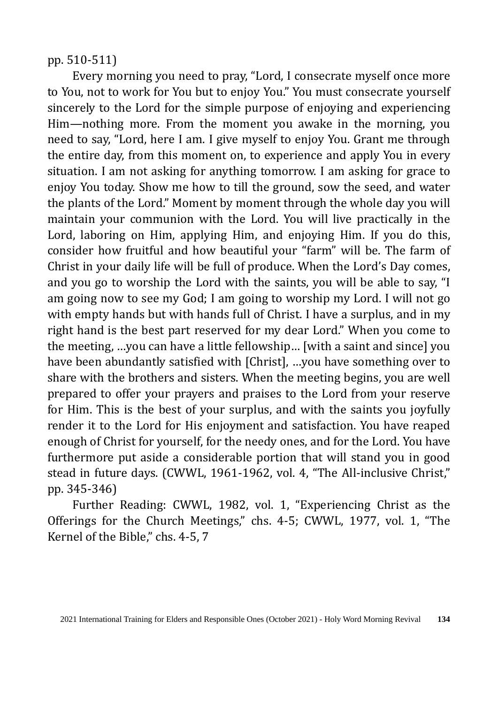pp. 510-511)

Every morning you need to pray, "Lord, I consecrate myself once more to You, not to work for You but to enjoy You." You must consecrate yourself sincerely to the Lord for the simple purpose of enjoying and experiencing Him—nothing more. From the moment you awake in the morning, you need to say, "Lord, here I am. I give myself to enjoy You. Grant me through the entire day, from this moment on, to experience and apply You in every situation. I am not asking for anything tomorrow. I am asking for grace to enjoy You today. Show me how to till the ground, sow the seed, and water the plants of the Lord." Moment by moment through the whole day you will maintain your communion with the Lord. You will live practically in the Lord, laboring on Him, applying Him, and enjoying Him. If you do this, consider how fruitful and how beautiful your "farm" will be. The farm of Christ in your daily life will be full of produce. When the Lord's Day comes, and you go to worship the Lord with the saints, you will be able to say, "I am going now to see my God; I am going to worship my Lord. I will not go with empty hands but with hands full of Christ. I have a surplus, and in my right hand is the best part reserved for my dear Lord." When you come to the meeting, …you can have a little fellowship… [with a saint and since] you have been abundantly satisfied with [Christ], …you have something over to share with the brothers and sisters. When the meeting begins, you are well prepared to offer your prayers and praises to the Lord from your reserve for Him. This is the best of your surplus, and with the saints you joyfully render it to the Lord for His enjoyment and satisfaction. You have reaped enough of Christ for yourself, for the needy ones, and for the Lord. You have furthermore put aside a considerable portion that will stand you in good stead in future days. (CWWL, 1961-1962, vol. 4, "The All-inclusive Christ," pp. 345-346)

Further Reading: CWWL, 1982, vol. 1, "Experiencing Christ as the Offerings for the Church Meetings," chs. 4-5; CWWL, 1977, vol. 1, "The Kernel of the Bible," chs. 4-5, 7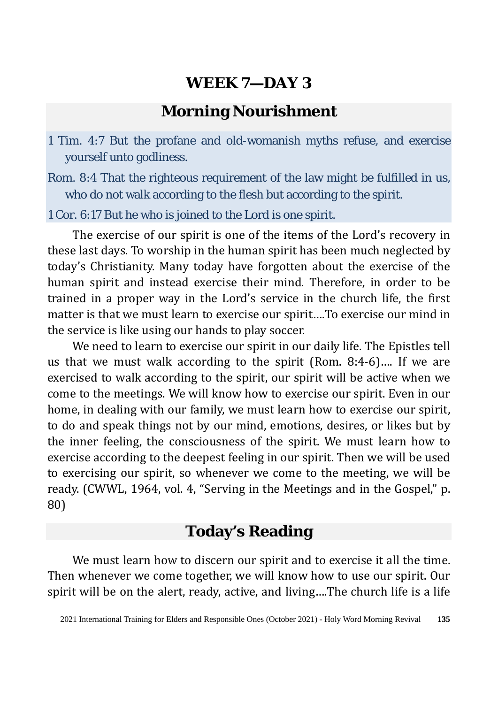#### **Morning Nourishment**

- 1 Tim. 4:7 But the profane and old-womanish myths refuse, and exercise yourself unto godliness.
- Rom. 8:4 That the righteous requirement of the law might be fulfilled in us, who do not walk according to the flesh but according to the spirit.

#### 1 Cor. 6:17 But he who is joined to the Lord is one spirit.

The exercise of our spirit is one of the items of the Lord's recovery in these last days. To worship in the human spirit has been much neglected by today's Christianity. Many today have forgotten about the exercise of the human spirit and instead exercise their mind. Therefore, in order to be trained in a proper way in the Lord's service in the church life, the first matter is that we must learn to exercise our spirit….To exercise our mind in the service is like using our hands to play soccer.

We need to learn to exercise our spirit in our daily life. The Epistles tell us that we must walk according to the spirit (Rom. 8:4-6)…. If we are exercised to walk according to the spirit, our spirit will be active when we come to the meetings. We will know how to exercise our spirit. Even in our home, in dealing with our family, we must learn how to exercise our spirit, to do and speak things not by our mind, emotions, desires, or likes but by the inner feeling, the consciousness of the spirit. We must learn how to exercise according to the deepest feeling in our spirit. Then we will be used to exercising our spirit, so whenever we come to the meeting, we will be ready. (CWWL, 1964, vol. 4, "Serving in the Meetings and in the Gospel," p. 80)

### **Today's Reading**

We must learn how to discern our spirit and to exercise it all the time. Then whenever we come together, we will know how to use our spirit. Our spirit will be on the alert, ready, active, and living….The church life is a life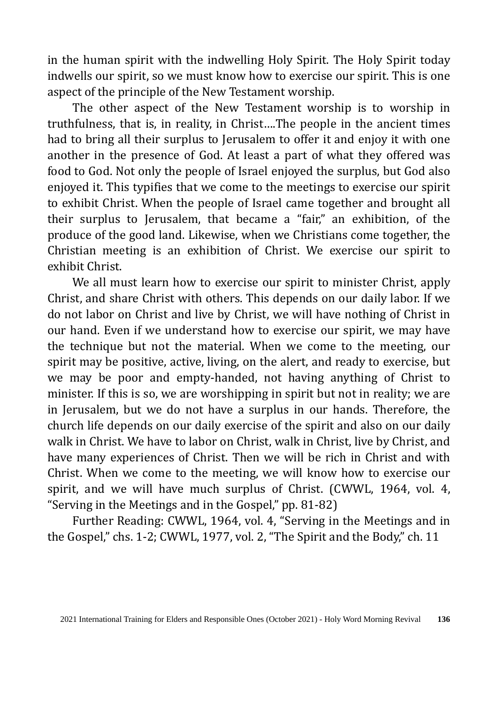in the human spirit with the indwelling Holy Spirit. The Holy Spirit today indwells our spirit, so we must know how to exercise our spirit. This is one aspect of the principle of the New Testament worship.

The other aspect of the New Testament worship is to worship in truthfulness, that is, in reality, in Christ….The people in the ancient times had to bring all their surplus to Jerusalem to offer it and enjoy it with one another in the presence of God. At least a part of what they offered was food to God. Not only the people of Israel enjoyed the surplus, but God also enjoyed it. This typifies that we come to the meetings to exercise our spirit to exhibit Christ. When the people of Israel came together and brought all their surplus to Jerusalem, that became a "fair," an exhibition, of the produce of the good land. Likewise, when we Christians come together, the Christian meeting is an exhibition of Christ. We exercise our spirit to exhibit Christ.

We all must learn how to exercise our spirit to minister Christ, apply Christ, and share Christ with others. This depends on our daily labor. If we do not labor on Christ and live by Christ, we will have nothing of Christ in our hand. Even if we understand how to exercise our spirit, we may have the technique but not the material. When we come to the meeting, our spirit may be positive, active, living, on the alert, and ready to exercise, but we may be poor and empty-handed, not having anything of Christ to minister. If this is so, we are worshipping in spirit but not in reality; we are in Jerusalem, but we do not have a surplus in our hands. Therefore, the church life depends on our daily exercise of the spirit and also on our daily walk in Christ. We have to labor on Christ, walk in Christ, live by Christ, and have many experiences of Christ. Then we will be rich in Christ and with Christ. When we come to the meeting, we will know how to exercise our spirit, and we will have much surplus of Christ. (CWWL, 1964, vol. 4, "Serving in the Meetings and in the Gospel," pp. 81-82)

Further Reading: CWWL, 1964, vol. 4, "Serving in the Meetings and in the Gospel," chs. 1-2; CWWL, 1977, vol. 2, "The Spirit and the Body," ch. 11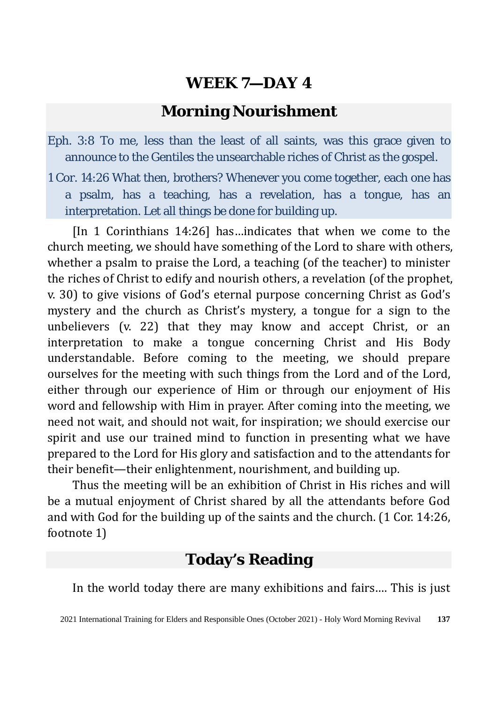#### **Morning Nourishment**

- Eph. 3:8 To me, less than the least of all saints, was this grace given to announce to the Gentiles the unsearchable riches of Christ as the gospel.
- 1 Cor. 14:26 What then, brothers? Whenever you come together, each one has a psalm, has a teaching, has a revelation, has a tongue, has an interpretation. Let all things be done for building up.

[In 1 Corinthians 14:26] has…indicates that when we come to the church meeting, we should have something of the Lord to share with others, whether a psalm to praise the Lord, a teaching (of the teacher) to minister the riches of Christ to edify and nourish others, a revelation (of the prophet, v. 30) to give visions of God's eternal purpose concerning Christ as God's mystery and the church as Christ's mystery, a tongue for a sign to the unbelievers (v. 22) that they may know and accept Christ, or an interpretation to make a tongue concerning Christ and His Body understandable. Before coming to the meeting, we should prepare ourselves for the meeting with such things from the Lord and of the Lord, either through our experience of Him or through our enjoyment of His word and fellowship with Him in prayer. After coming into the meeting, we need not wait, and should not wait, for inspiration; we should exercise our spirit and use our trained mind to function in presenting what we have prepared to the Lord for His glory and satisfaction and to the attendants for their benefit—their enlightenment, nourishment, and building up.

Thus the meeting will be an exhibition of Christ in His riches and will be a mutual enjoyment of Christ shared by all the attendants before God and with God for the building up of the saints and the church. (1 Cor. 14:26, footnote 1)

### **Today's Reading**

In the world today there are many exhibitions and fairs…. This is just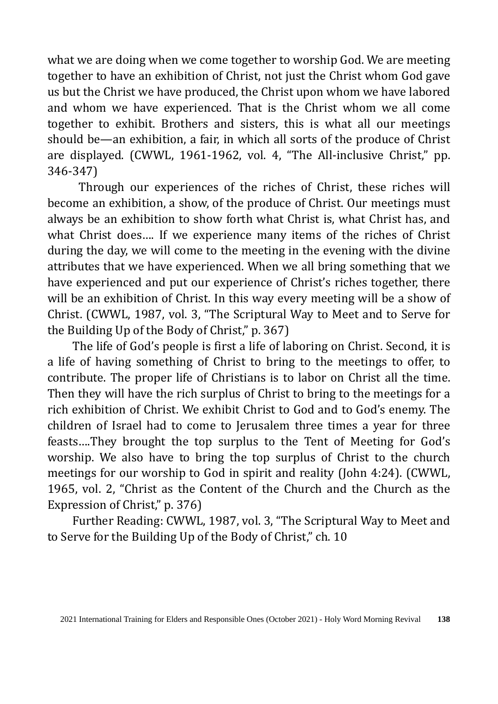what we are doing when we come together to worship God. We are meeting together to have an exhibition of Christ, not just the Christ whom God gave us but the Christ we have produced, the Christ upon whom we have labored and whom we have experienced. That is the Christ whom we all come together to exhibit. Brothers and sisters, this is what all our meetings should be—an exhibition, a fair, in which all sorts of the produce of Christ are displayed. (CWWL, 1961-1962, vol. 4, "The All-inclusive Christ," pp. 346-347)

Through our experiences of the riches of Christ, these riches will become an exhibition, a show, of the produce of Christ. Our meetings must always be an exhibition to show forth what Christ is, what Christ has, and what Christ does…. If we experience many items of the riches of Christ during the day, we will come to the meeting in the evening with the divine attributes that we have experienced. When we all bring something that we have experienced and put our experience of Christ's riches together, there will be an exhibition of Christ. In this way every meeting will be a show of Christ. (CWWL, 1987, vol. 3, "The Scriptural Way to Meet and to Serve for the Building Up of the Body of Christ," p. 367)

The life of God's people is first a life of laboring on Christ. Second, it is a life of having something of Christ to bring to the meetings to offer, to contribute. The proper life of Christians is to labor on Christ all the time. Then they will have the rich surplus of Christ to bring to the meetings for a rich exhibition of Christ. We exhibit Christ to God and to God's enemy. The children of Israel had to come to Jerusalem three times a year for three feasts….They brought the top surplus to the Tent of Meeting for God's worship. We also have to bring the top surplus of Christ to the church meetings for our worship to God in spirit and reality (John 4:24). (CWWL, 1965, vol. 2, "Christ as the Content of the Church and the Church as the Expression of Christ," p. 376)

Further Reading: CWWL, 1987, vol. 3, "The Scriptural Way to Meet and to Serve for the Building Up of the Body of Christ," ch. 10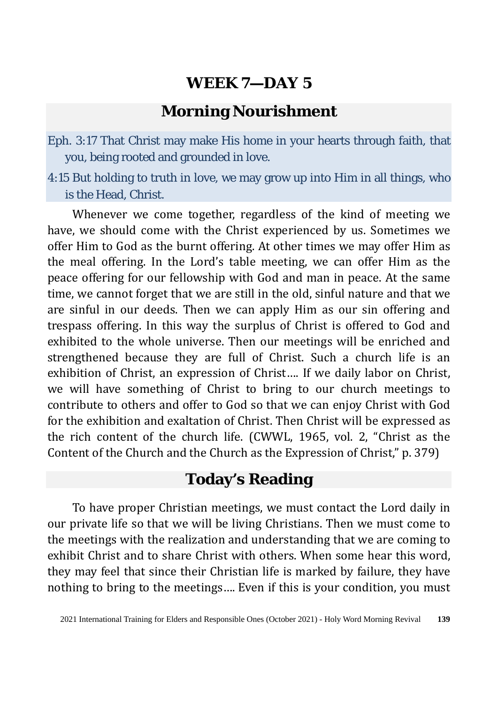### **Morning Nourishment**

Eph. 3:17 That Christ may make His home in your hearts through faith, that you, being rooted and grounded in love.

4:15 But holding to truth in love, we may grow up into Him in all things, who is the Head, Christ.

Whenever we come together, regardless of the kind of meeting we have, we should come with the Christ experienced by us. Sometimes we offer Him to God as the burnt offering. At other times we may offer Him as the meal offering. In the Lord's table meeting, we can offer Him as the peace offering for our fellowship with God and man in peace. At the same time, we cannot forget that we are still in the old, sinful nature and that we are sinful in our deeds. Then we can apply Him as our sin offering and trespass offering. In this way the surplus of Christ is offered to God and exhibited to the whole universe. Then our meetings will be enriched and strengthened because they are full of Christ. Such a church life is an exhibition of Christ, an expression of Christ…. If we daily labor on Christ, we will have something of Christ to bring to our church meetings to contribute to others and offer to God so that we can enjoy Christ with God for the exhibition and exaltation of Christ. Then Christ will be expressed as the rich content of the church life. (CWWL, 1965, vol. 2, "Christ as the Content of the Church and the Church as the Expression of Christ," p. 379)

#### **Today's Reading**

To have proper Christian meetings, we must contact the Lord daily in our private life so that we will be living Christians. Then we must come to the meetings with the realization and understanding that we are coming to exhibit Christ and to share Christ with others. When some hear this word, they may feel that since their Christian life is marked by failure, they have nothing to bring to the meetings…. Even if this is your condition, you must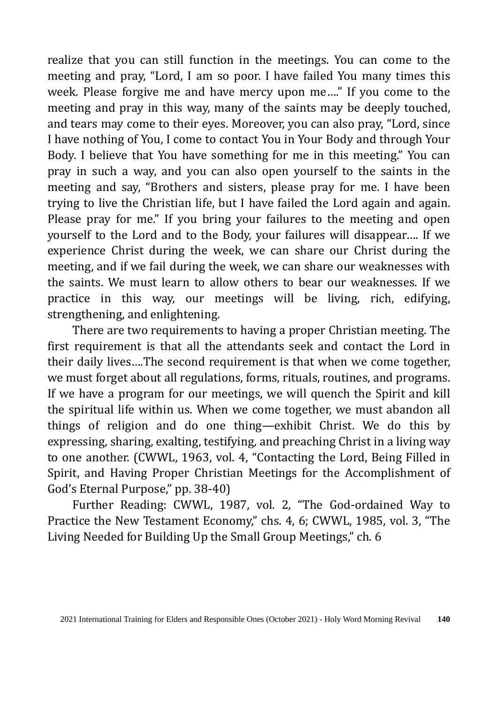realize that you can still function in the meetings. You can come to the meeting and pray, "Lord, I am so poor. I have failed You many times this week. Please forgive me and have mercy upon me…." If you come to the meeting and pray in this way, many of the saints may be deeply touched, and tears may come to their eyes. Moreover, you can also pray, "Lord, since I have nothing of You, I come to contact You in Your Body and through Your Body. I believe that You have something for me in this meeting." You can pray in such a way, and you can also open yourself to the saints in the meeting and say, "Brothers and sisters, please pray for me. I have been trying to live the Christian life, but I have failed the Lord again and again. Please pray for me." If you bring your failures to the meeting and open yourself to the Lord and to the Body, your failures will disappear…. If we experience Christ during the week, we can share our Christ during the meeting, and if we fail during the week, we can share our weaknesses with the saints. We must learn to allow others to bear our weaknesses. If we practice in this way, our meetings will be living, rich, edifying, strengthening, and enlightening.

There are two requirements to having a proper Christian meeting. The first requirement is that all the attendants seek and contact the Lord in their daily lives….The second requirement is that when we come together, we must forget about all regulations, forms, rituals, routines, and programs. If we have a program for our meetings, we will quench the Spirit and kill the spiritual life within us. When we come together, we must abandon all things of religion and do one thing—exhibit Christ. We do this by expressing, sharing, exalting, testifying, and preaching Christ in a living way to one another. (CWWL, 1963, vol. 4, "Contacting the Lord, Being Filled in Spirit, and Having Proper Christian Meetings for the Accomplishment of God's Eternal Purpose," pp. 38-40)

Further Reading: CWWL, 1987, vol. 2, "The God-ordained Way to Practice the New Testament Economy," chs. 4, 6; CWWL, 1985, vol. 3, "The Living Needed for Building Up the Small Group Meetings," ch. 6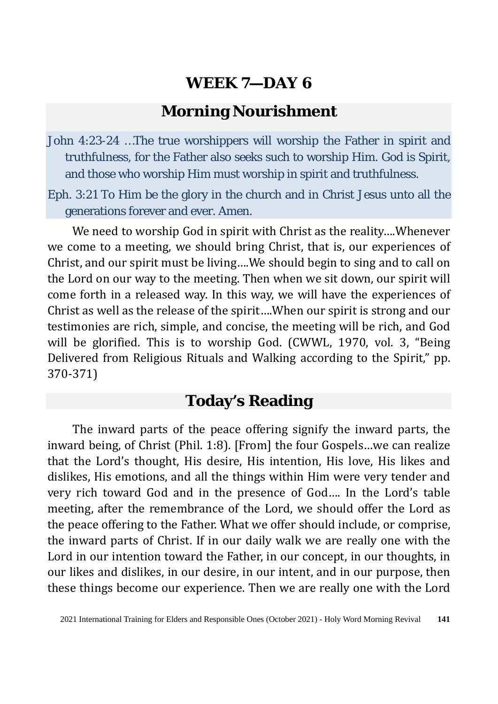#### **Morning Nourishment**

- John 4:23-24 …The true worshippers will worship the Father in spirit and truthfulness, for the Father also seeks such to worship Him. God is Spirit, and those who worship Him must worship in spirit and truthfulness.
- Eph. 3:21 To Him be the glory in the church and in Christ Jesus unto all the generations forever and ever. Amen.

We need to worship God in spirit with Christ as the reality….Whenever we come to a meeting, we should bring Christ, that is, our experiences of Christ, and our spirit must be living….We should begin to sing and to call on the Lord on our way to the meeting. Then when we sit down, our spirit will come forth in a released way. In this way, we will have the experiences of Christ as well as the release of the spirit….When our spirit is strong and our testimonies are rich, simple, and concise, the meeting will be rich, and God will be glorified. This is to worship God. (CWWL, 1970, vol. 3, "Being Delivered from Religious Rituals and Walking according to the Spirit," pp. 370-371)

### **Today's Reading**

The inward parts of the peace offering signify the inward parts, the inward being, of Christ (Phil. 1:8). [From] the four Gospels…we can realize that the Lord's thought, His desire, His intention, His love, His likes and dislikes, His emotions, and all the things within Him were very tender and very rich toward God and in the presence of God…. In the Lord's table meeting, after the remembrance of the Lord, we should offer the Lord as the peace offering to the Father. What we offer should include, or comprise, the inward parts of Christ. If in our daily walk we are really one with the Lord in our intention toward the Father, in our concept, in our thoughts, in our likes and dislikes, in our desire, in our intent, and in our purpose, then these things become our experience. Then we are really one with the Lord

<sup>2021</sup> International Training for Elders and Responsible Ones (October 2021) - Holy Word Morning Revival **141**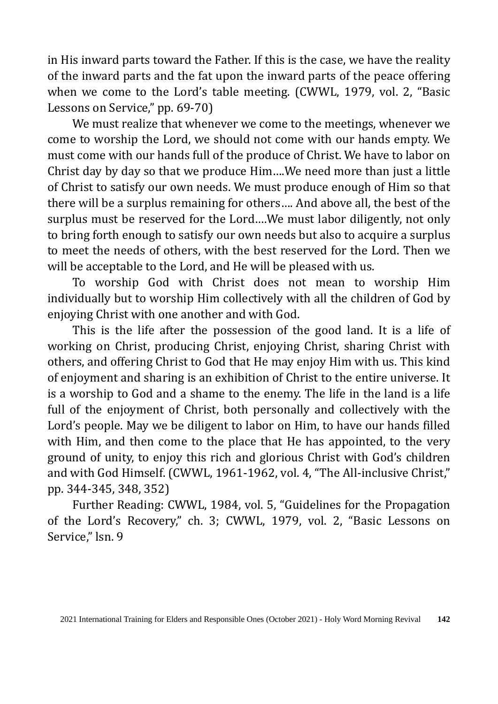in His inward parts toward the Father. If this is the case, we have the reality of the inward parts and the fat upon the inward parts of the peace offering when we come to the Lord's table meeting. (CWWL, 1979, vol. 2, "Basic Lessons on Service," pp. 69-70)

We must realize that whenever we come to the meetings, whenever we come to worship the Lord, we should not come with our hands empty. We must come with our hands full of the produce of Christ. We have to labor on Christ day by day so that we produce Him….We need more than just a little of Christ to satisfy our own needs. We must produce enough of Him so that there will be a surplus remaining for others…. And above all, the best of the surplus must be reserved for the Lord….We must labor diligently, not only to bring forth enough to satisfy our own needs but also to acquire a surplus to meet the needs of others, with the best reserved for the Lord. Then we will be acceptable to the Lord, and He will be pleased with us.

To worship God with Christ does not mean to worship Him individually but to worship Him collectively with all the children of God by enjoying Christ with one another and with God.

This is the life after the possession of the good land. It is a life of working on Christ, producing Christ, enjoying Christ, sharing Christ with others, and offering Christ to God that He may enjoy Him with us. This kind of enjoyment and sharing is an exhibition of Christ to the entire universe. It is a worship to God and a shame to the enemy. The life in the land is a life full of the enjoyment of Christ, both personally and collectively with the Lord's people. May we be diligent to labor on Him, to have our hands filled with Him, and then come to the place that He has appointed, to the very ground of unity, to enjoy this rich and glorious Christ with God's children and with God Himself. (CWWL, 1961-1962, vol. 4, "The All-inclusive Christ," pp. 344-345, 348, 352)

Further Reading: CWWL, 1984, vol. 5, "Guidelines for the Propagation of the Lord's Recovery," ch. 3; CWWL, 1979, vol. 2, "Basic Lessons on Service," lsn. 9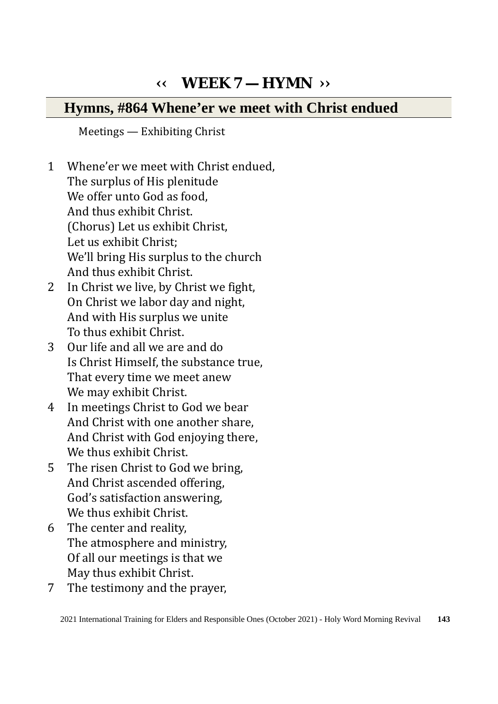## **‹‹ WEEK 7 — HYMN ››**

### **Hymns, #864 Whene'er we meet with Christ endued**

Meetings — Exhibiting Christ

- 1 Whene'er we meet with Christ endued, The surplus of His plenitude We offer unto God as food. And thus exhibit Christ. (Chorus) Let us exhibit Christ, Let us exhibit Christ; We'll bring His surplus to the church And thus exhibit Christ.
- 2 In Christ we live, by Christ we fight, On Christ we labor day and night, And with His surplus we unite To thus exhibit Christ.
- 3 Our life and all we are and do Is Christ Himself, the substance true, That every time we meet anew We may exhibit Christ.
- 4 In meetings Christ to God we bear And Christ with one another share, And Christ with God enjoying there, We thus exhibit Christ.
- 5 The risen Christ to God we bring, And Christ ascended offering, God's satisfaction answering, We thus exhibit Christ.
- 6 The center and reality, The atmosphere and ministry, Of all our meetings is that we May thus exhibit Christ.
- 7 The testimony and the prayer,